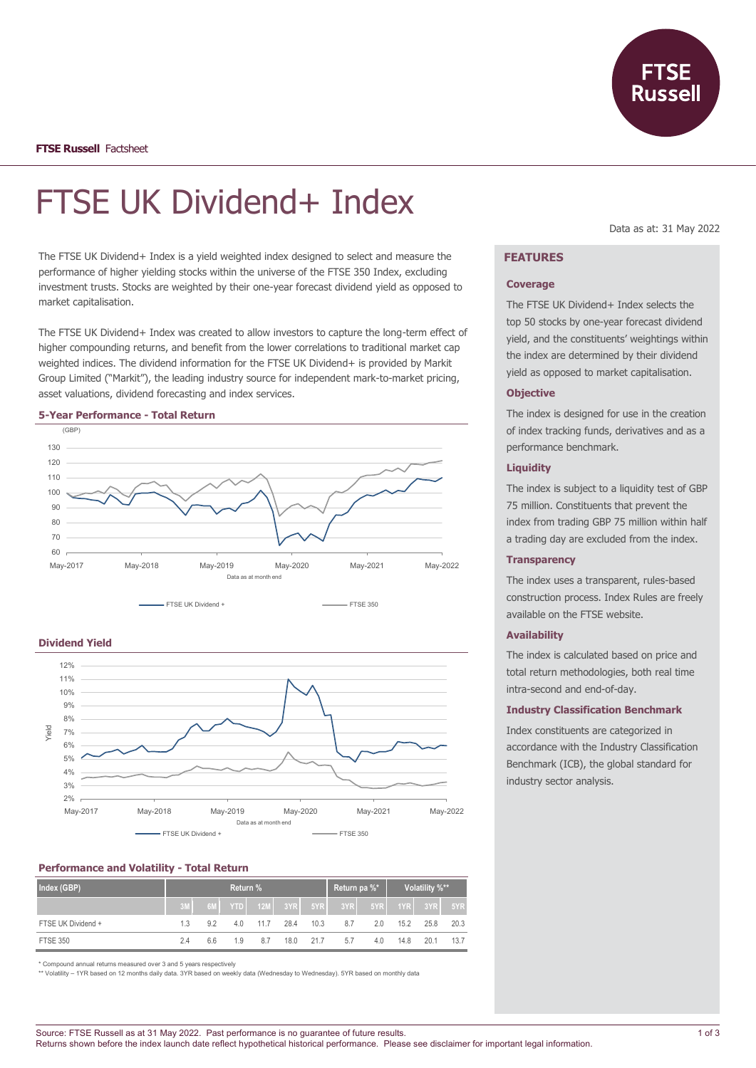

# FTSE UK Dividend+ Index

The FTSE UK Dividend+ Index is a yield weighted index designed to select and measure the performance of higher yielding stocks within the universe of the FTSE 350 Index, excluding investment trusts. Stocks are weighted by their one-year forecast dividend yield as opposed to market capitalisation.

The FTSE UK Dividend+ Index was created to allow investors to capture the long-term effect of higher compounding returns, and benefit from the lower correlations to traditional market cap weighted indices. The dividend information for the FTSE UK Dividend+ is provided by Markit Group Limited ("Markit"), the leading industry source for independent mark-to-market pricing, asset valuations, dividend forecasting and index services.



FTSE UK Dividend + FTSE 350

#### **5-Year Performance - Total Return**



#### **Performance and Volatility - Total Return**

| Index (GBP)        | Return % |    |            |      |             |      | Return pa %* |       | Volatility %** |      |      |
|--------------------|----------|----|------------|------|-------------|------|--------------|-------|----------------|------|------|
|                    |          | 6M | <b>YTD</b> |      | $12M$ $3YR$ | 5YR  | 3YR L        | 5YR L | 1YR            | 3YR  | 5YR  |
| FTSE UK Dividend + | 1.3      | 92 | 4.0        | 11.7 | 28.4        | 10.3 | 8.7          | 2.0   | 15.2           | 25.8 | 20.3 |
| <b>FTSE 350</b>    | 2.4      | 66 | 1.9        | 8.7  | 18.0        | 21.7 | 5.7          | 4.0   | 14.8           | 201  | 13.7 |

\* Compound annual returns measured over 3 and 5 years respectively

\*\* Volatility – 1YR based on 12 months daily data. 3YR based on weekly data (Wednesday to Wednesday). 5YR based on monthly data

Data as at: 31 May 2022

# **FEATURES**

#### **Coverage**

The FTSE UK Dividend+ Index selects the top 50 stocks by one-year forecast dividend yield, and the constituents' weightings within the index are determined by their dividend yield as opposed to market capitalisation.

#### **Objective**

The index is designed for use in the creation of index tracking funds, derivatives and as a performance benchmark.

#### **Liquidity**

The index is subject to a liquidity test of GBP 75 million. Constituents that prevent the index from trading GBP 75 million within half a trading day are excluded from the index.

#### **Transparency**

The index uses a transparent, rules-based construction process. Index Rules are freely available on the FTSE website.

## **Availability**

The index is calculated based on price and total return methodologies, both real time intra-second and end-of-day.

## **Industry Classification Benchmark**

Index constituents are categorized in accordance with the Industry Classification Benchmark (ICB), the global standard for industry sector analysis.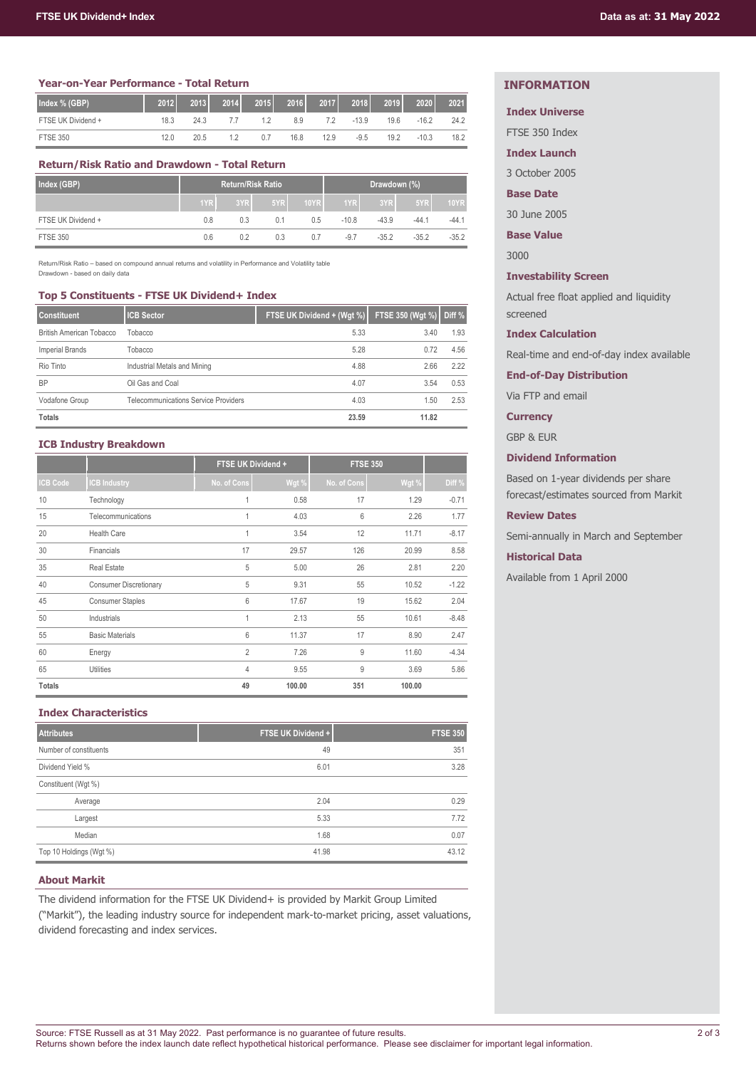#### **Year-on-Year Performance - Total Return**

| Index % (GBP)      | 2012 | 2013 | 2014 | 2015 | 2016 | 2017 | 2018    | 2019 | 2020    | 2021 |
|--------------------|------|------|------|------|------|------|---------|------|---------|------|
| FTSE UK Dividend + | 18.3 | 24.3 |      | 12   | 8.9  | 7.2  | $-13.9$ | 19.6 | $-16.2$ | 24.2 |
| <b>FTSE 350</b>    | 12.0 | 20.5 | 12   | 0.7  | 16.8 | 12.9 | $-9.5$  | 19.2 | $-10.3$ | 18.2 |

# **Return/Risk Ratio and Drawdown - Total Return**

| Index (GBP)        | <b>Return/Risk Ratio</b> |     |     |             | Drawdown (%) |         |         |             |
|--------------------|--------------------------|-----|-----|-------------|--------------|---------|---------|-------------|
|                    | 1YR                      | 3YR | 5YR | <b>10YR</b> | 1YR          | 3YR     | 5YR     | <b>10YR</b> |
| FTSE UK Dividend + | 0.8                      | 0.3 | 0.1 | 0.5         | $-10.8$      | $-43.9$ | $-44.1$ | $-44.1$     |
| <b>FTSE 350</b>    | 0.6                      | 0.2 | 0.3 | 0.7         | $-9.7$       | $-35.2$ | $-35.2$ | $-35.2$     |

Return/Risk Ratio – based on compound annual returns and volatility in Performance and Volatility table Drawdown - based on daily data

#### **Top 5 Constituents - FTSE UK Dividend+ Index**

| <b>Constituent</b>       | <b>ICB Sector</b>                           | FTSE UK Dividend + (Wgt %) | FTSE 350 (Wgt %) | Diff % |
|--------------------------|---------------------------------------------|----------------------------|------------------|--------|
| British American Tobacco | Tobacco                                     | 5.33                       | 3.40             | 1.93   |
| <b>Imperial Brands</b>   | Tobacco                                     | 5.28                       | 0.72             | 4.56   |
| Rio Tinto                | Industrial Metals and Mining                | 4.88                       | 2.66             | 2.22   |
| <b>BP</b>                | Oil Gas and Coal                            | 4.07                       | 3.54             | 0.53   |
| Vodafone Group           | <b>Telecommunications Service Providers</b> | 4.03                       | 1.50             | 2.53   |
| <b>Totals</b>            |                                             | 23.59                      | 11.82            |        |

# **ICB Industry Breakdown**

|                 |                               | FTSE UK Dividend + |        | <b>FTSE 350</b> |        |         |
|-----------------|-------------------------------|--------------------|--------|-----------------|--------|---------|
| <b>ICB Code</b> | <b>CB Industry</b>            | No. of Cons        | Wgt %  | No. of Cons     | Wgt %  | Diff %  |
| 10              | Technology                    | 1                  | 0.58   | 17              | 1.29   | $-0.71$ |
| 15              | Telecommunications            | 1                  | 4.03   | 6               | 2.26   | 1.77    |
| 20              | <b>Health Care</b>            | 1                  | 3.54   | 12              | 11.71  | $-8.17$ |
| 30              | Financials                    | 17                 | 29.57  | 126             | 20.99  | 8.58    |
| 35              | <b>Real Estate</b>            | 5                  | 5.00   | 26              | 2.81   | 2.20    |
| 40              | <b>Consumer Discretionary</b> | 5                  | 9.31   | 55              | 10.52  | $-1.22$ |
| 45              | <b>Consumer Staples</b>       | 6                  | 17.67  | 19              | 15.62  | 2.04    |
| 50              | Industrials                   | 1                  | 2.13   | 55              | 10.61  | $-8.48$ |
| 55              | <b>Basic Materials</b>        | 6                  | 11.37  | 17              | 8.90   | 2.47    |
| 60              | Energy                        | $\overline{2}$     | 7.26   | 9               | 11.60  | $-4.34$ |
| 65              | <b>Utilities</b>              | 4                  | 9.55   | 9               | 3.69   | 5.86    |
| <b>Totals</b>   |                               | 49                 | 100.00 | 351             | 100.00 |         |

# **Index Characteristics**

| <b>Attributes</b>       | FTSE UK Dividend + | <b>FTSE 350</b> |
|-------------------------|--------------------|-----------------|
| Number of constituents  | 49                 | 351             |
| Dividend Yield %        | 6.01               | 3.28            |
| Constituent (Wgt %)     |                    |                 |
| Average                 | 2.04               | 0.29            |
| Largest                 | 5.33               | 7.72            |
| Median                  | 1.68               | 0.07            |
| Top 10 Holdings (Wgt %) | 41.98              | 43.12           |

#### **About Markit**

The dividend information for the FTSE UK Dividend+ is provided by Markit Group Limited ("Markit"), the leading industry source for independent mark-to-market pricing, asset valuations, dividend forecasting and index services.

# **INFORMATION**

# **Index Universe**

FTSE 350 Index

# **Index Launch**

3 October 2005

# **Base Date**

30 June 2005

**Base Value**

3000

# **Investability Screen**

Actual free float applied and liquidity screened

#### **Index Calculation**

Real-time and end-of-day index available

**End-of-Day Distribution**

Via FTP and email

# **Currency**

GBP & EUR

# **Dividend Information**

Based on 1-year dividends per share forecast/estimates sourced from Markit

#### **Review Dates**

Semi-annually in March and September

#### **Historical Data**

Available from 1 April 2000